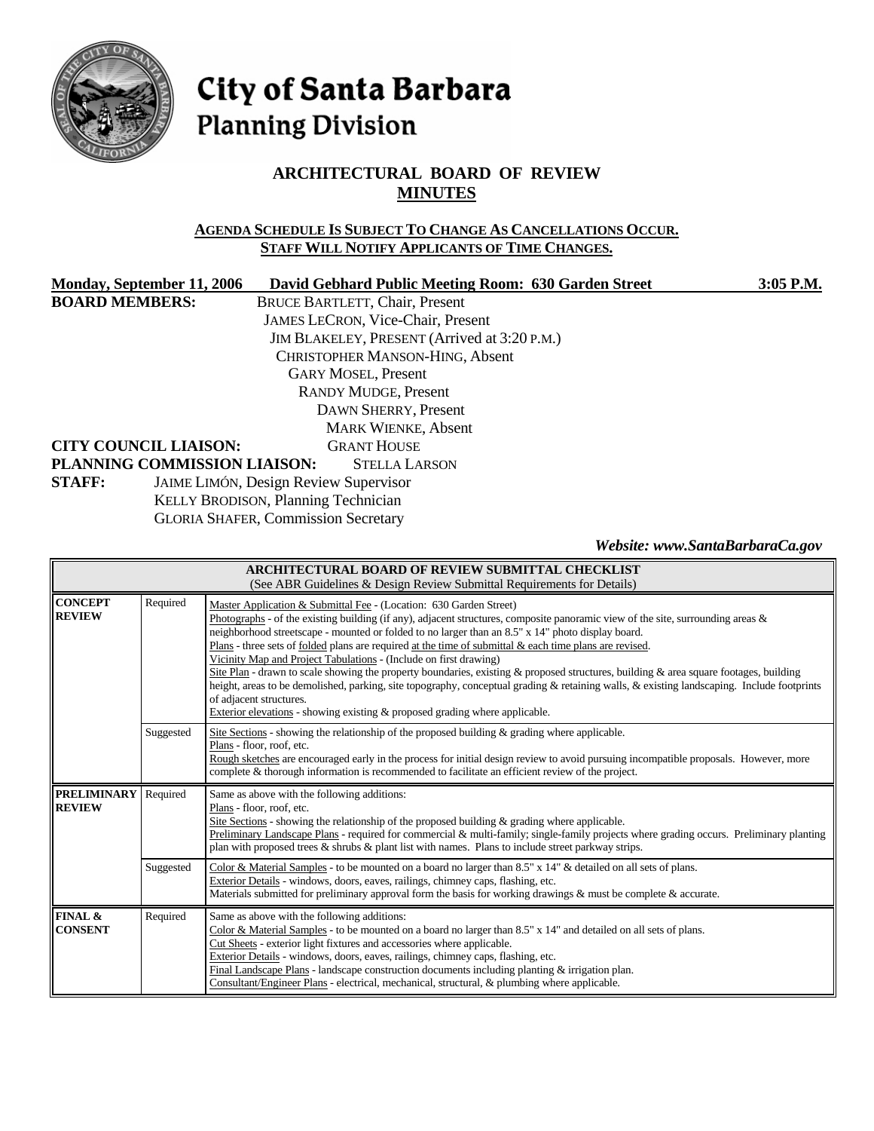

# City of Santa Barbara **Planning Division**

# **ARCHITECTURAL BOARD OF REVIEW MINUTES**

## **AGENDA SCHEDULE IS SUBJECT TO CHANGE AS CANCELLATIONS OCCUR. STAFF WILL NOTIFY APPLICANTS OF TIME CHANGES.**

| Monday, September 11, 2006   | David Gebhard Public Meeting Room: 630 Garden Street | 3:05 P.M. |
|------------------------------|------------------------------------------------------|-----------|
| <b>BOARD MEMBERS:</b>        | <b>BRUCE BARTLETT, Chair, Present</b>                |           |
|                              | <b>JAMES LECRON, Vice-Chair, Present</b>             |           |
|                              | JIM BLAKELEY, PRESENT (Arrived at 3:20 P.M.)         |           |
|                              | <b>CHRISTOPHER MANSON-HING, Absent</b>               |           |
|                              | <b>GARY MOSEL, Present</b>                           |           |
|                              | <b>RANDY MUDGE, Present</b>                          |           |
|                              | DAWN SHERRY, Present                                 |           |
|                              | <b>MARK WIENKE, Absent</b>                           |           |
| <b>CITY COUNCIL LIAISON:</b> | <b>GRANT HOUSE</b>                                   |           |
| PLANNING COMMISSION LIAISON: | <b>STELLA LARSON</b>                                 |           |
| <b>STAFF:</b>                | JAIME LIMÓN, Design Review Supervisor                |           |
|                              | <b>KELLY BRODISON, Planning Technician</b>           |           |

GLORIA SHAFER, Commission Secretary

*Website: www.SantaBarbaraCa.gov* 

| <b>ARCHITECTURAL BOARD OF REVIEW SUBMITTAL CHECKLIST</b><br>(See ABR Guidelines & Design Review Submittal Requirements for Details) |           |                                                                                                                                                                                                                                                                                                                                                                                                                                                                                                                                                                                                                                                                                                                                                                                                                                                                                                |  |
|-------------------------------------------------------------------------------------------------------------------------------------|-----------|------------------------------------------------------------------------------------------------------------------------------------------------------------------------------------------------------------------------------------------------------------------------------------------------------------------------------------------------------------------------------------------------------------------------------------------------------------------------------------------------------------------------------------------------------------------------------------------------------------------------------------------------------------------------------------------------------------------------------------------------------------------------------------------------------------------------------------------------------------------------------------------------|--|
| <b>CONCEPT</b><br><b>REVIEW</b>                                                                                                     | Required  | Master Application & Submittal Fee - (Location: 630 Garden Street)<br>Photographs - of the existing building (if any), adjacent structures, composite panoramic view of the site, surrounding areas &<br>neighborhood streetscape - mounted or folded to no larger than an 8.5" x 14" photo display board.<br>Plans - three sets of folded plans are required at the time of submittal & each time plans are revised.<br>Vicinity Map and Project Tabulations - (Include on first drawing)<br>Site Plan - drawn to scale showing the property boundaries, existing & proposed structures, building & area square footages, building<br>height, areas to be demolished, parking, site topography, conceptual grading & retaining walls, & existing landscaping. Include footprints<br>of adjacent structures.<br>Exterior elevations - showing existing $\&$ proposed grading where applicable. |  |
|                                                                                                                                     | Suggested | Site Sections - showing the relationship of the proposed building & grading where applicable.<br>Plans - floor, roof, etc.<br>Rough sketches are encouraged early in the process for initial design review to avoid pursuing incompatible proposals. However, more<br>complete & thorough information is recommended to facilitate an efficient review of the project.                                                                                                                                                                                                                                                                                                                                                                                                                                                                                                                         |  |
| <b>PRELIMINARY</b><br><b>REVIEW</b>                                                                                                 | Required  | Same as above with the following additions:<br>Plans - floor, roof, etc.<br>Site Sections - showing the relationship of the proposed building $\&$ grading where applicable.<br>Preliminary Landscape Plans - required for commercial & multi-family; single-family projects where grading occurs. Preliminary planting<br>plan with proposed trees & shrubs & plant list with names. Plans to include street parkway strips.                                                                                                                                                                                                                                                                                                                                                                                                                                                                  |  |
|                                                                                                                                     | Suggested | Color & Material Samples - to be mounted on a board no larger than 8.5" x 14" & detailed on all sets of plans.<br>Exterior Details - windows, doors, eaves, railings, chimney caps, flashing, etc.<br>Materials submitted for preliminary approval form the basis for working drawings & must be complete & accurate.                                                                                                                                                                                                                                                                                                                                                                                                                                                                                                                                                                          |  |
| FINAL &<br><b>CONSENT</b>                                                                                                           | Required  | Same as above with the following additions:<br>Color & Material Samples - to be mounted on a board no larger than 8.5" x 14" and detailed on all sets of plans.<br>Cut Sheets - exterior light fixtures and accessories where applicable.<br>Exterior Details - windows, doors, eaves, railings, chimney caps, flashing, etc.<br>Final Landscape Plans - landscape construction documents including planting $\&$ irrigation plan.<br>Consultant/Engineer Plans - electrical, mechanical, structural, & plumbing where applicable.                                                                                                                                                                                                                                                                                                                                                             |  |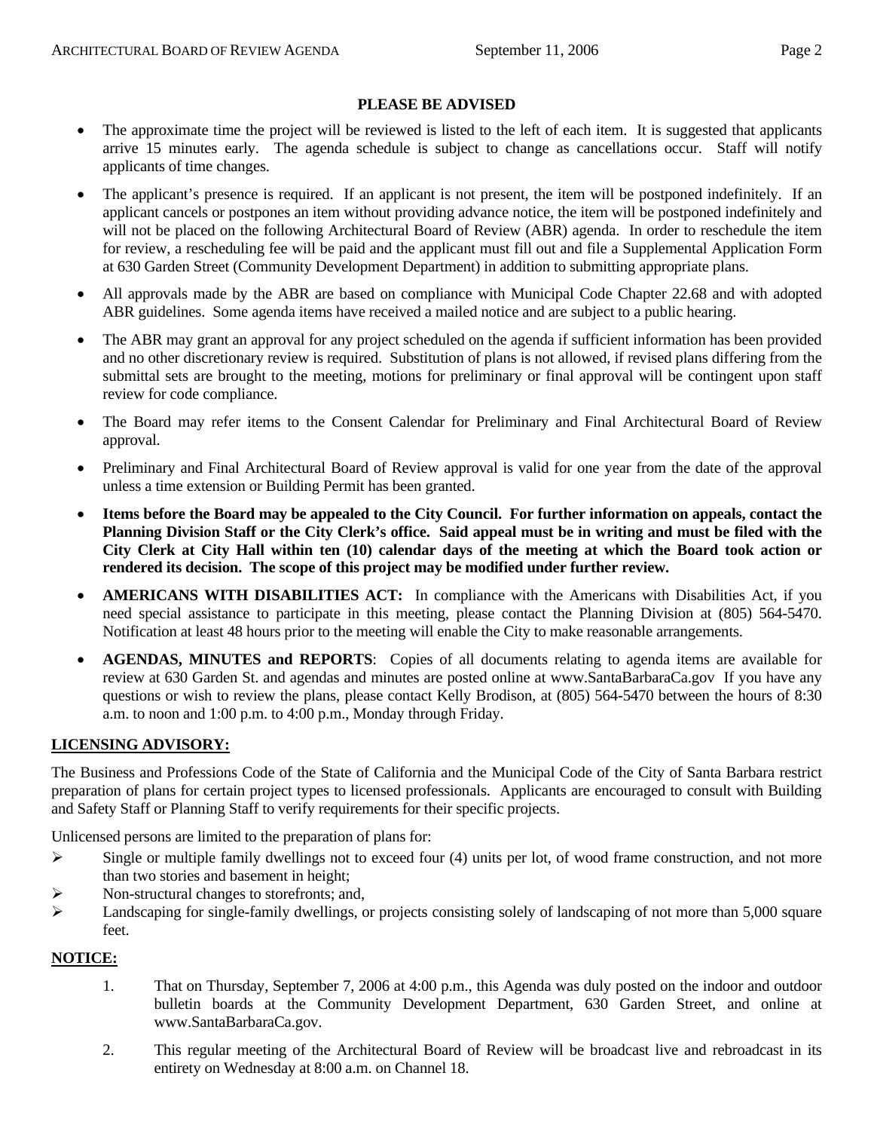#### **PLEASE BE ADVISED**

- The approximate time the project will be reviewed is listed to the left of each item. It is suggested that applicants arrive 15 minutes early. The agenda schedule is subject to change as cancellations occur. Staff will notify applicants of time changes.
- The applicant's presence is required. If an applicant is not present, the item will be postponed indefinitely. If an applicant cancels or postpones an item without providing advance notice, the item will be postponed indefinitely and will not be placed on the following Architectural Board of Review (ABR) agenda. In order to reschedule the item for review, a rescheduling fee will be paid and the applicant must fill out and file a Supplemental Application Form at 630 Garden Street (Community Development Department) in addition to submitting appropriate plans.
- All approvals made by the ABR are based on compliance with Municipal Code Chapter 22.68 and with adopted ABR guidelines. Some agenda items have received a mailed notice and are subject to a public hearing.
- The ABR may grant an approval for any project scheduled on the agenda if sufficient information has been provided and no other discretionary review is required. Substitution of plans is not allowed, if revised plans differing from the submittal sets are brought to the meeting, motions for preliminary or final approval will be contingent upon staff review for code compliance.
- The Board may refer items to the Consent Calendar for Preliminary and Final Architectural Board of Review approval.
- Preliminary and Final Architectural Board of Review approval is valid for one year from the date of the approval unless a time extension or Building Permit has been granted.
- **Items before the Board may be appealed to the City Council. For further information on appeals, contact the Planning Division Staff or the City Clerk's office. Said appeal must be in writing and must be filed with the City Clerk at City Hall within ten (10) calendar days of the meeting at which the Board took action or rendered its decision. The scope of this project may be modified under further review.**
- **AMERICANS WITH DISABILITIES ACT:** In compliance with the Americans with Disabilities Act, if you need special assistance to participate in this meeting, please contact the Planning Division at (805) 564-5470. Notification at least 48 hours prior to the meeting will enable the City to make reasonable arrangements.
- **AGENDAS, MINUTES and REPORTS**: Copies of all documents relating to agenda items are available for review at 630 Garden St. and agendas and minutes are posted online at [www.SantaBarbaraCa.gov](http://www.santabarbaraca.gov/) If you have any questions or wish to review the plans, please contact Kelly Brodison, at (805) 564-5470 between the hours of 8:30 a.m. to noon and 1:00 p.m. to 4:00 p.m., Monday through Friday.

#### **LICENSING ADVISORY:**

The Business and Professions Code of the State of California and the Municipal Code of the City of Santa Barbara restrict preparation of plans for certain project types to licensed professionals. Applicants are encouraged to consult with Building and Safety Staff or Planning Staff to verify requirements for their specific projects.

Unlicensed persons are limited to the preparation of plans for:

- $\triangleright$  Single or multiple family dwellings not to exceed four (4) units per lot, of wood frame construction, and not more than two stories and basement in height;
- ¾ Non-structural changes to storefronts; and,
- $\blacktriangleright$  Landscaping for single-family dwellings, or projects consisting solely of landscaping of not more than 5,000 square feet.

#### **NOTICE:**

- 1. That on Thursday, September 7, 2006 at 4:00 p.m., this Agenda was duly posted on the indoor and outdoor bulletin boards at the Community Development Department, 630 Garden Street, and online at www.SantaBarbaraCa.gov.
- 2. This regular meeting of the Architectural Board of Review will be broadcast live and rebroadcast in its entirety on Wednesday at 8:00 a.m. on Channel 18.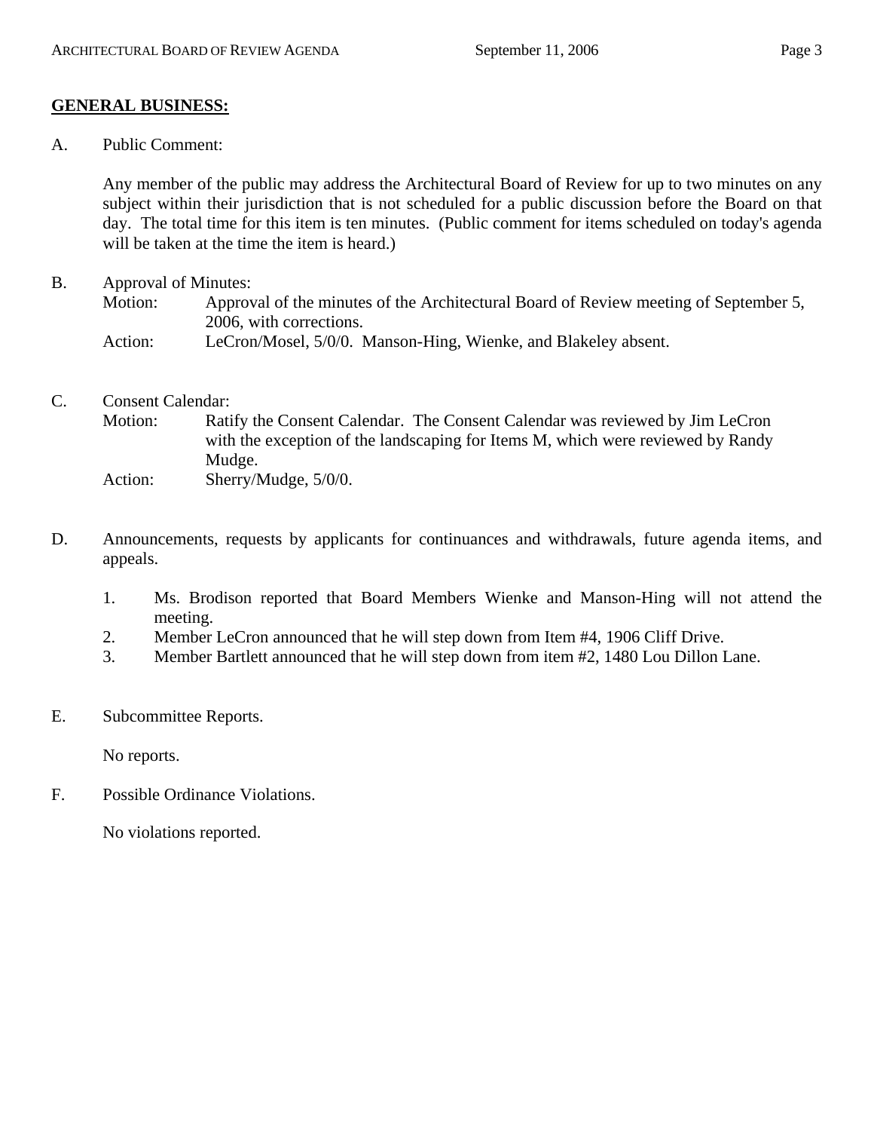## **GENERAL BUSINESS:**

A. Public Comment:

Any member of the public may address the Architectural Board of Review for up to two minutes on any subject within their jurisdiction that is not scheduled for a public discussion before the Board on that day. The total time for this item is ten minutes. (Public comment for items scheduled on today's agenda will be taken at the time the item is heard.)

B. Approval of Minutes:

Motion: Approval of the minutes of the Architectural Board of Review meeting of September 5, 2006, with corrections.

- Action: LeCron/Mosel, 5/0/0. Manson-Hing, Wienke, and Blakeley absent.
- C. Consent Calendar: Motion: Ratify the Consent Calendar. The Consent Calendar was reviewed by Jim LeCron with the exception of the landscaping for Items M, which were reviewed by Randy Mudge. Action: Sherry/Mudge, 5/0/0.
- D. Announcements, requests by applicants for continuances and withdrawals, future agenda items, and appeals.
	- 1. Ms. Brodison reported that Board Members Wienke and Manson-Hing will not attend the meeting.
	- 2. Member LeCron announced that he will step down from Item #4, 1906 Cliff Drive.
	- 3. Member Bartlett announced that he will step down from item #2, 1480 Lou Dillon Lane.
- E. Subcommittee Reports.

No reports.

F. Possible Ordinance Violations.

No violations reported.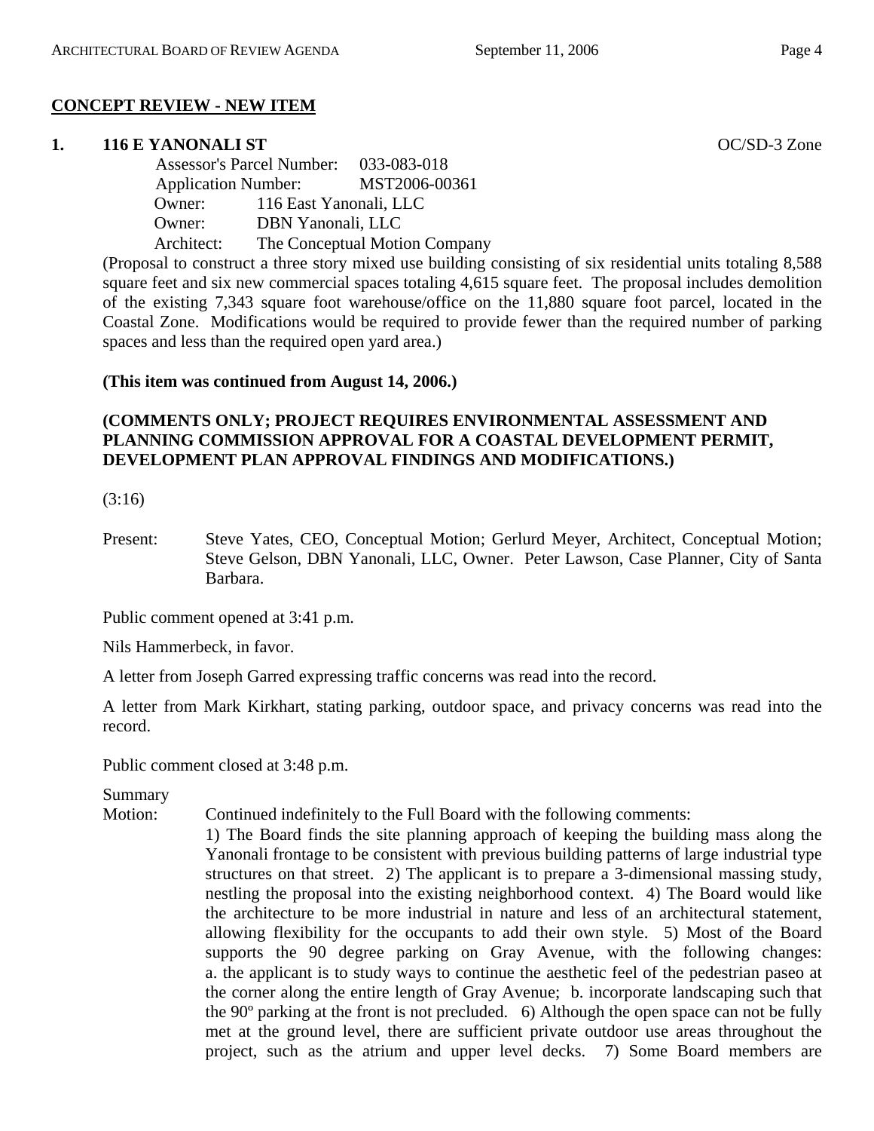## **CONCEPT REVIEW - NEW ITEM**

## **1. 116 E YANONALI ST** OC/SD-3 Zone

 Assessor's Parcel Number: 033-083-018 Application Number: MST2006-00361 Owner: 116 East Yanonali, LLC Owner: DBN Yanonali, LLC Architect: The Conceptual Motion Company

(Proposal to construct a three story mixed use building consisting of six residential units totaling 8,588 square feet and six new commercial spaces totaling 4,615 square feet. The proposal includes demolition of the existing 7,343 square foot warehouse/office on the 11,880 square foot parcel, located in the Coastal Zone. Modifications would be required to provide fewer than the required number of parking spaces and less than the required open yard area.)

## **(This item was continued from August 14, 2006.)**

## **(COMMENTS ONLY; PROJECT REQUIRES ENVIRONMENTAL ASSESSMENT AND PLANNING COMMISSION APPROVAL FOR A COASTAL DEVELOPMENT PERMIT, DEVELOPMENT PLAN APPROVAL FINDINGS AND MODIFICATIONS.)**

(3:16)

Present: Steve Yates, CEO, Conceptual Motion; Gerlurd Meyer, Architect, Conceptual Motion; Steve Gelson, DBN Yanonali, LLC, Owner. Peter Lawson, Case Planner, City of Santa Barbara.

Public comment opened at 3:41 p.m.

Nils Hammerbeck, in favor.

A letter from Joseph Garred expressing traffic concerns was read into the record.

A letter from Mark Kirkhart, stating parking, outdoor space, and privacy concerns was read into the record.

Public comment closed at 3:48 p.m.

Summary

Motion: Continued indefinitely to the Full Board with the following comments:

1) The Board finds the site planning approach of keeping the building mass along the Yanonali frontage to be consistent with previous building patterns of large industrial type structures on that street. 2) The applicant is to prepare a 3-dimensional massing study, nestling the proposal into the existing neighborhood context. 4) The Board would like the architecture to be more industrial in nature and less of an architectural statement, allowing flexibility for the occupants to add their own style. 5) Most of the Board supports the 90 degree parking on Gray Avenue, with the following changes: a. the applicant is to study ways to continue the aesthetic feel of the pedestrian paseo at the corner along the entire length of Gray Avenue; b. incorporate landscaping such that the 90º parking at the front is not precluded. 6) Although the open space can not be fully met at the ground level, there are sufficient private outdoor use areas throughout the project, such as the atrium and upper level decks. 7) Some Board members are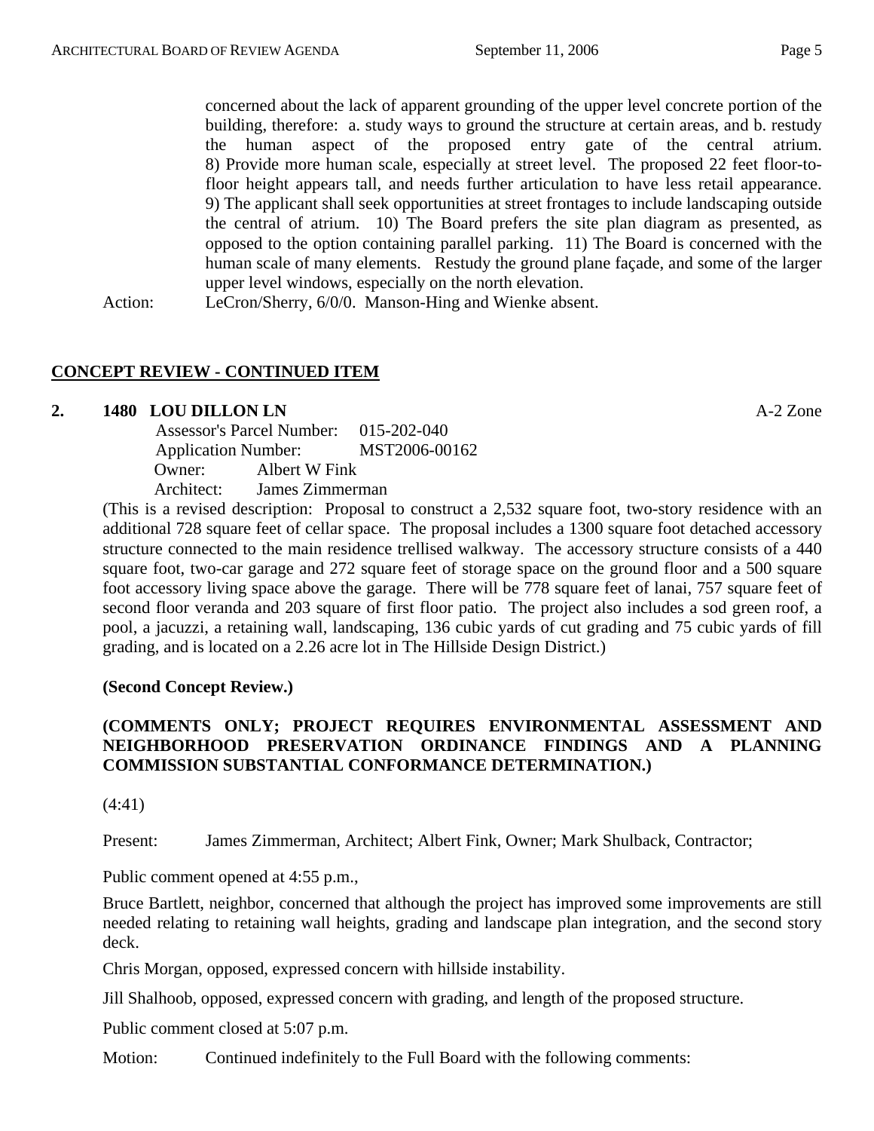concerned about the lack of apparent grounding of the upper level concrete portion of the building, therefore: a. study ways to ground the structure at certain areas, and b. restudy the human aspect of the proposed entry gate of the central atrium. 8) Provide more human scale, especially at street level. The proposed 22 feet floor-tofloor height appears tall, and needs further articulation to have less retail appearance. 9) The applicant shall seek opportunities at street frontages to include landscaping outside the central of atrium. 10) The Board prefers the site plan diagram as presented, as opposed to the option containing parallel parking. 11) The Board is concerned with the human scale of many elements. Restudy the ground plane façade, and some of the larger upper level windows, especially on the north elevation.

Action: LeCron/Sherry, 6/0/0. Manson-Hing and Wienke absent.

## **CONCEPT REVIEW - CONTINUED ITEM**

#### **2. 1480 LOU DILLON LN** A-2 Zone

 Assessor's Parcel Number: 015-202-040 Application Number: MST2006-00162 Owner: Albert W Fink Architect: James Zimmerman

(This is a revised description: Proposal to construct a 2,532 square foot, two-story residence with an additional 728 square feet of cellar space. The proposal includes a 1300 square foot detached accessory structure connected to the main residence trellised walkway. The accessory structure consists of a 440 square foot, two-car garage and 272 square feet of storage space on the ground floor and a 500 square foot accessory living space above the garage. There will be 778 square feet of lanai, 757 square feet of second floor veranda and 203 square of first floor patio. The project also includes a sod green roof, a pool, a jacuzzi, a retaining wall, landscaping, 136 cubic yards of cut grading and 75 cubic yards of fill grading, and is located on a 2.26 acre lot in The Hillside Design District.)

## **(Second Concept Review.)**

# **(COMMENTS ONLY; PROJECT REQUIRES ENVIRONMENTAL ASSESSMENT AND NEIGHBORHOOD PRESERVATION ORDINANCE FINDINGS AND A PLANNING COMMISSION SUBSTANTIAL CONFORMANCE DETERMINATION.)**

(4:41)

Present: James Zimmerman, Architect; Albert Fink, Owner; Mark Shulback, Contractor;

Public comment opened at 4:55 p.m.,

Bruce Bartlett, neighbor, concerned that although the project has improved some improvements are still needed relating to retaining wall heights, grading and landscape plan integration, and the second story deck.

Chris Morgan, opposed, expressed concern with hillside instability.

Jill Shalhoob, opposed, expressed concern with grading, and length of the proposed structure.

Public comment closed at 5:07 p.m.

Motion: Continued indefinitely to the Full Board with the following comments: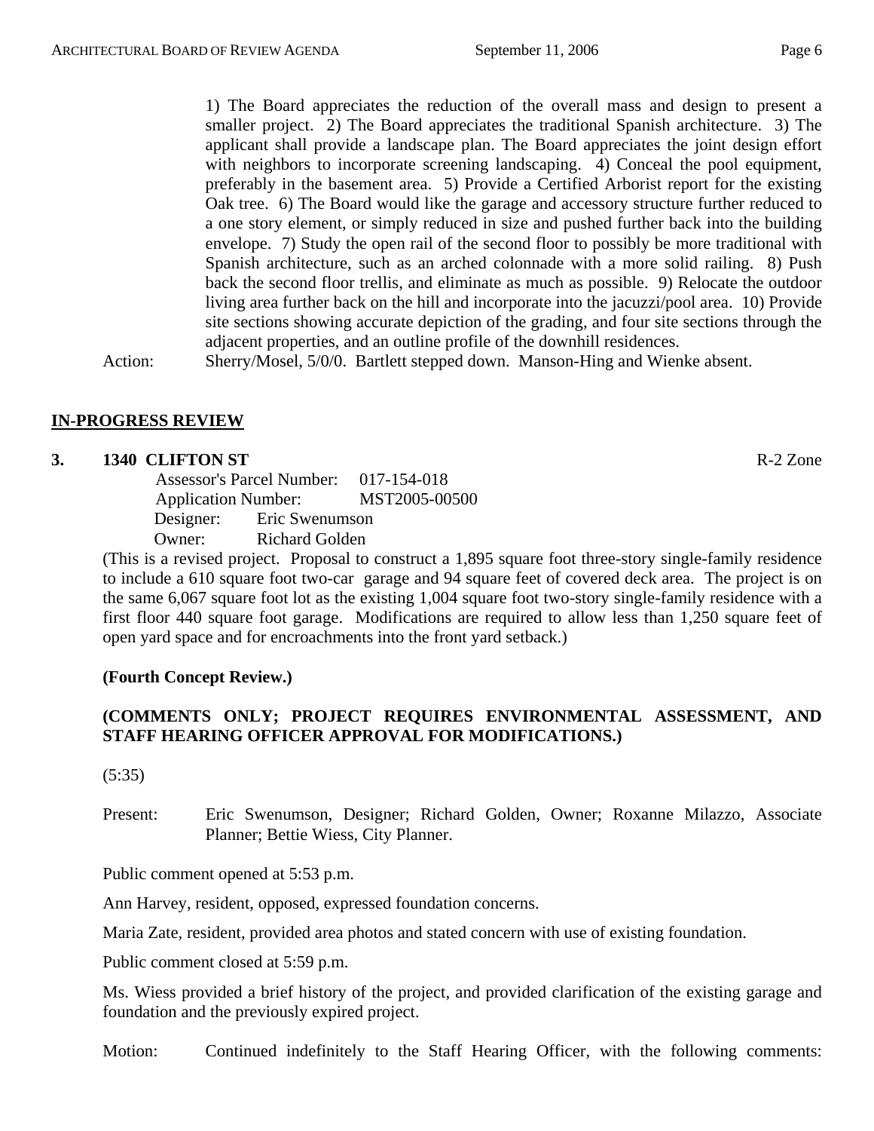1) The Board appreciates the reduction of the overall mass and design to present a smaller project. 2) The Board appreciates the traditional Spanish architecture. 3) The applicant shall provide a landscape plan. The Board appreciates the joint design effort with neighbors to incorporate screening landscaping. 4) Conceal the pool equipment, preferably in the basement area. 5) Provide a Certified Arborist report for the existing Oak tree. 6) The Board would like the garage and accessory structure further reduced to a one story element, or simply reduced in size and pushed further back into the building envelope. 7) Study the open rail of the second floor to possibly be more traditional with Spanish architecture, such as an arched colonnade with a more solid railing. 8) Push back the second floor trellis, and eliminate as much as possible. 9) Relocate the outdoor living area further back on the hill and incorporate into the jacuzzi/pool area. 10) Provide site sections showing accurate depiction of the grading, and four site sections through the adjacent properties, and an outline profile of the downhill residences.

Action: Sherry/Mosel, 5/0/0. Bartlett stepped down. Manson-Hing and Wienke absent.

## **IN-PROGRESS REVIEW**

#### **3. 1340 CLIFTON ST** R-2 Zone

 Assessor's Parcel Number: 017-154-018 Application Number: MST2005-00500 Designer: Eric Swenumson Owner: Richard Golden

(This is a revised project. Proposal to construct a 1,895 square foot three-story single-family residence to include a 610 square foot two-car garage and 94 square feet of covered deck area. The project is on the same 6,067 square foot lot as the existing 1,004 square foot two-story single-family residence with a first floor 440 square foot garage. Modifications are required to allow less than 1,250 square feet of open yard space and for encroachments into the front yard setback.)

## **(Fourth Concept Review.)**

# **(COMMENTS ONLY; PROJECT REQUIRES ENVIRONMENTAL ASSESSMENT, AND STAFF HEARING OFFICER APPROVAL FOR MODIFICATIONS.)**

(5:35)

Present: Eric Swenumson, Designer; Richard Golden, Owner; Roxanne Milazzo, Associate Planner; Bettie Wiess, City Planner.

Public comment opened at 5:53 p.m.

Ann Harvey, resident, opposed, expressed foundation concerns.

Maria Zate, resident, provided area photos and stated concern with use of existing foundation.

Public comment closed at 5:59 p.m.

Ms. Wiess provided a brief history of the project, and provided clarification of the existing garage and foundation and the previously expired project.

Motion: Continued indefinitely to the Staff Hearing Officer, with the following comments: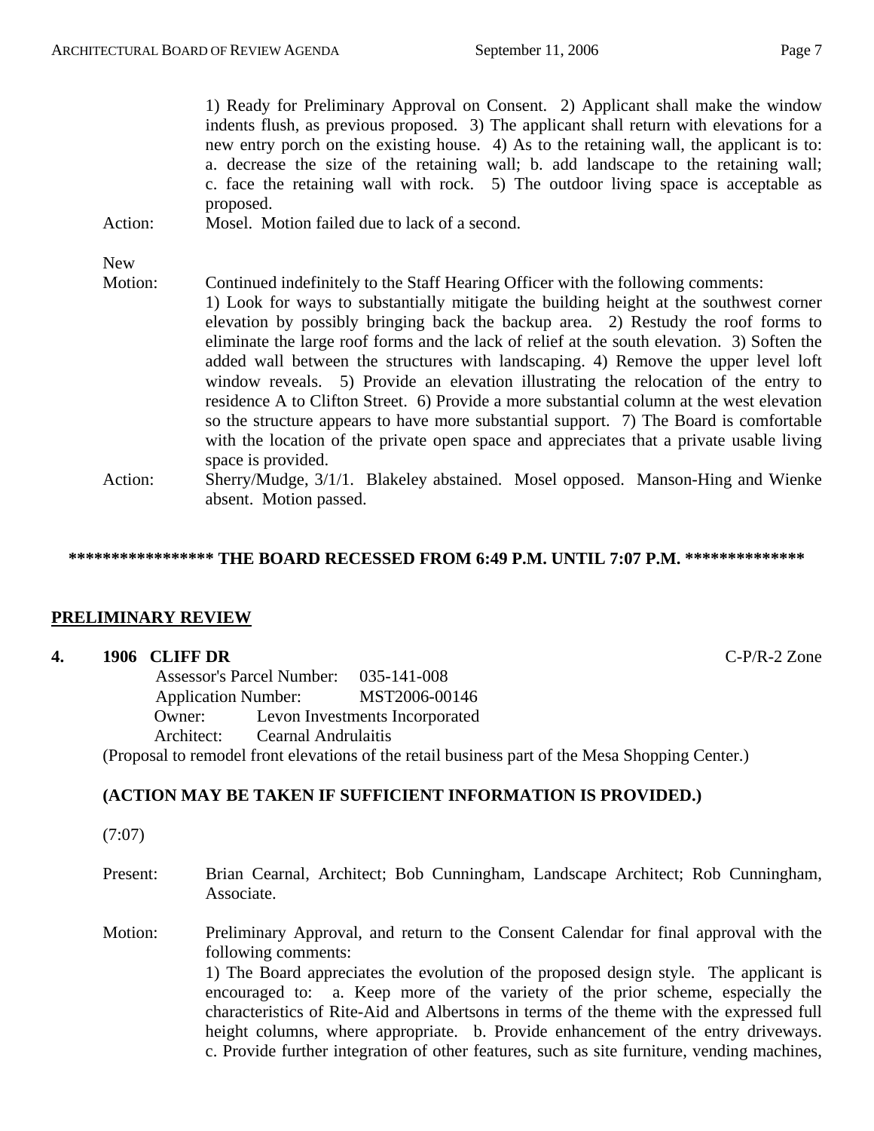|            | 1) Ready for Preliminary Approval on Consent. 2) Applicant shall make the window<br>indents flush, as previous proposed. 3) The applicant shall return with elevations for a<br>new entry porch on the existing house. 4) As to the retaining wall, the applicant is to:<br>a. decrease the size of the retaining wall; b. add landscape to the retaining wall;<br>c. face the retaining wall with rock. 5) The outdoor living space is acceptable as<br>proposed. |
|------------|--------------------------------------------------------------------------------------------------------------------------------------------------------------------------------------------------------------------------------------------------------------------------------------------------------------------------------------------------------------------------------------------------------------------------------------------------------------------|
| Action:    | Mosel. Motion failed due to lack of a second.                                                                                                                                                                                                                                                                                                                                                                                                                      |
|            |                                                                                                                                                                                                                                                                                                                                                                                                                                                                    |
| <b>New</b> |                                                                                                                                                                                                                                                                                                                                                                                                                                                                    |
| Motion:    | Continued indefinitely to the Staff Hearing Officer with the following comments:<br>1) Look for ways to substantially mitigate the building height at the southwest corner<br>elevation by possibly bringing back the backup area. 2) Restudy the roof forms to                                                                                                                                                                                                    |

eliminate the large roof forms and the lack of relief at the south elevation. 3) Soften the added wall between the structures with landscaping. 4) Remove the upper level loft window reveals. 5) Provide an elevation illustrating the relocation of the entry to residence A to Clifton Street. 6) Provide a more substantial column at the west elevation so the structure appears to have more substantial support. 7) The Board is comfortable with the location of the private open space and appreciates that a private usable living space is provided.

Action: Sherry/Mudge, 3/1/1. Blakeley abstained. Mosel opposed. Manson-Hing and Wienke absent. Motion passed.

## **\*\*\*\*\*\*\*\*\*\*\*\*\*\*\*\*\* THE BOARD RECESSED FROM 6:49 P.M. UNTIL 7:07 P.M. \*\*\*\*\*\*\*\*\*\*\*\*\*\***

## **PRELIMINARY REVIEW**

#### **4. 1906 CLIFF DR** C-P/R-2 Zone

 Assessor's Parcel Number: 035-141-008 Application Number: MST2006-00146 Owner: Levon Investments Incorporated Architect: Cearnal Andrulaitis (Proposal to remodel front elevations of the retail business part of the Mesa Shopping Center.)

# **(ACTION MAY BE TAKEN IF SUFFICIENT INFORMATION IS PROVIDED.)**

(7:07)

- Present: Brian Cearnal, Architect; Bob Cunningham, Landscape Architect; Rob Cunningham, Associate.
- Motion: Preliminary Approval, and return to the Consent Calendar for final approval with the following comments: 1) The Board appreciates the evolution of the proposed design style. The applicant is encouraged to: a. Keep more of the variety of the prior scheme, especially the characteristics of Rite-Aid and Albertsons in terms of the theme with the expressed full height columns, where appropriate. b. Provide enhancement of the entry driveways. c. Provide further integration of other features, such as site furniture, vending machines,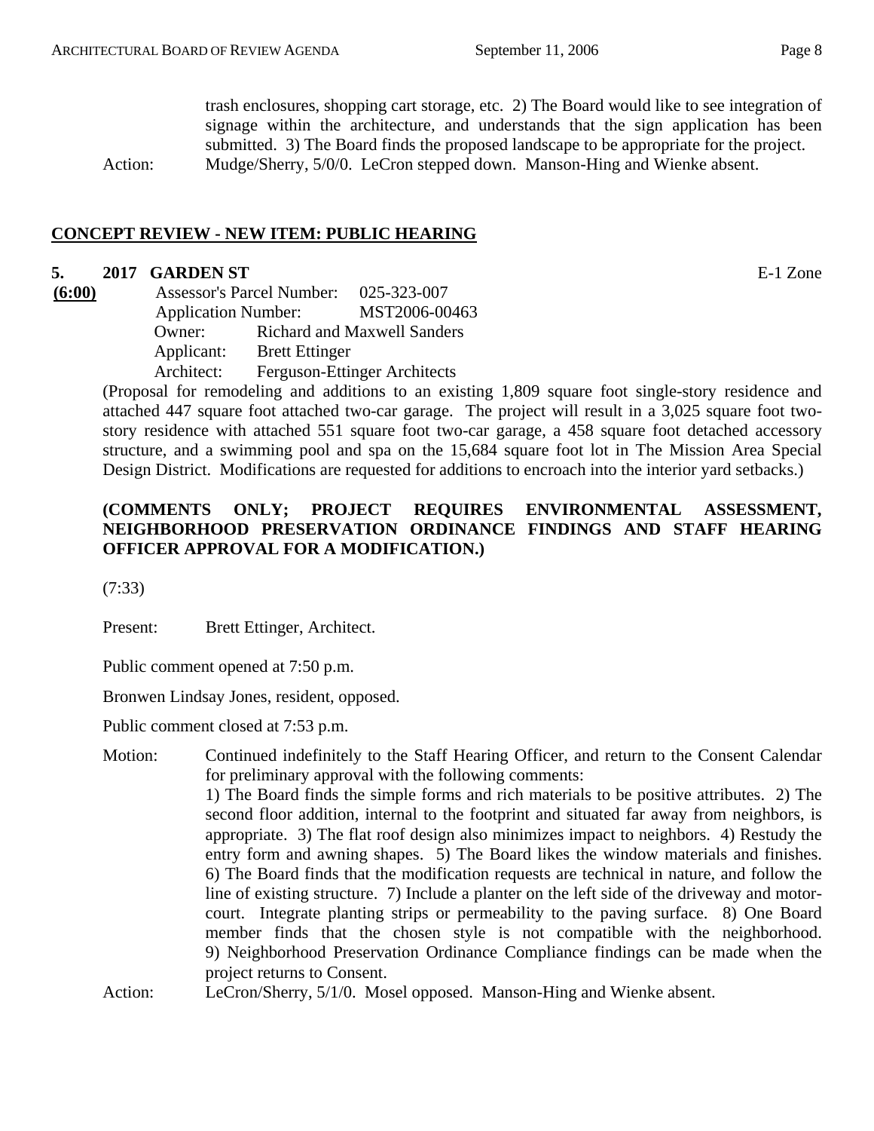trash enclosures, shopping cart storage, etc. 2) The Board would like to see integration of signage within the architecture, and understands that the sign application has been submitted. 3) The Board finds the proposed landscape to be appropriate for the project. Action: Mudge/Sherry, 5/0/0. LeCron stepped down. Manson-Hing and Wienke absent.

**CONCEPT REVIEW - NEW ITEM: PUBLIC HEARING**

#### **5. 2017 GARDEN ST** E-1 Zone

**(6:00)** Assessor's Parcel Number: 025-323-007 Application Number: MST2006-00463 Owner: Richard and Maxwell Sanders Applicant: Brett Ettinger Architect: Ferguson-Ettinger Architects

(Proposal for remodeling and additions to an existing 1,809 square foot single-story residence and attached 447 square foot attached two-car garage. The project will result in a 3,025 square foot twostory residence with attached 551 square foot two-car garage, a 458 square foot detached accessory structure, and a swimming pool and spa on the 15,684 square foot lot in The Mission Area Special Design District. Modifications are requested for additions to encroach into the interior yard setbacks.)

# **(COMMENTS ONLY; PROJECT REQUIRES ENVIRONMENTAL ASSESSMENT, NEIGHBORHOOD PRESERVATION ORDINANCE FINDINGS AND STAFF HEARING OFFICER APPROVAL FOR A MODIFICATION.)**

(7:33)

Present: Brett Ettinger, Architect.

Public comment opened at 7:50 p.m.

Bronwen Lindsay Jones, resident, opposed.

Public comment closed at 7:53 p.m.

# Motion: Continued indefinitely to the Staff Hearing Officer, and return to the Consent Calendar for preliminary approval with the following comments: 1) The Board finds the simple forms and rich materials to be positive attributes. 2) The second floor addition, internal to the footprint and situated far away from neighbors, is appropriate. 3) The flat roof design also minimizes impact to neighbors. 4) Restudy the entry form and awning shapes. 5) The Board likes the window materials and finishes. 6) The Board finds that the modification requests are technical in nature, and follow the line of existing structure. 7) Include a planter on the left side of the driveway and motorcourt. Integrate planting strips or permeability to the paving surface. 8) One Board member finds that the chosen style is not compatible with the neighborhood. 9) Neighborhood Preservation Ordinance Compliance findings can be made when the project returns to Consent.

Action: LeCron/Sherry, 5/1/0. Mosel opposed. Manson-Hing and Wienke absent.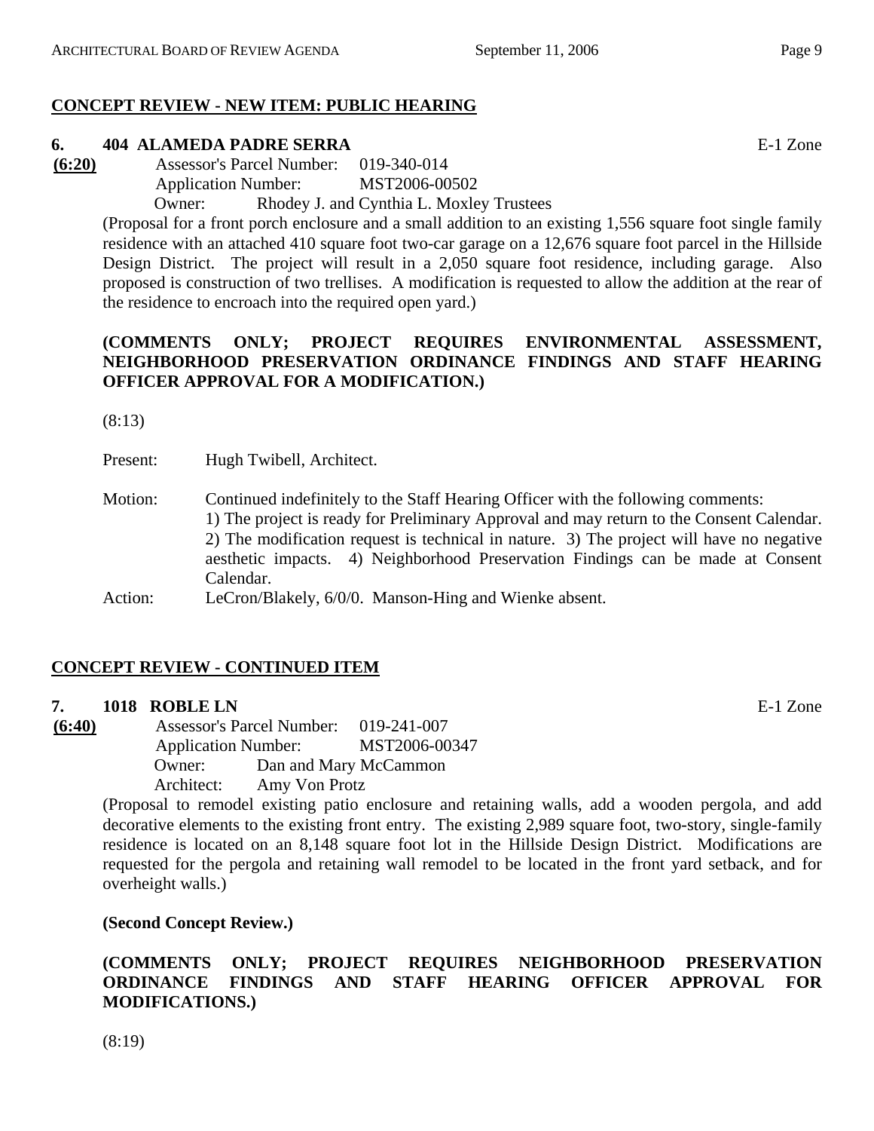# **CONCEPT REVIEW - NEW ITEM: PUBLIC HEARING**

# **6. 404 ALAMEDA PADRE SERRA** E-1 Zone

**(6:20)** Assessor's Parcel Number: 019-340-014 Application Number: MST2006-00502

Owner: Rhodey J. and Cynthia L. Moxley Trustees

(Proposal for a front porch enclosure and a small addition to an existing 1,556 square foot single family residence with an attached 410 square foot two-car garage on a 12,676 square foot parcel in the Hillside Design District. The project will result in a 2,050 square foot residence, including garage. Also proposed is construction of two trellises. A modification is requested to allow the addition at the rear of the residence to encroach into the required open yard.)

## **(COMMENTS ONLY; PROJECT REQUIRES ENVIRONMENTAL ASSESSMENT, NEIGHBORHOOD PRESERVATION ORDINANCE FINDINGS AND STAFF HEARING OFFICER APPROVAL FOR A MODIFICATION.)**

(8:13)

Present: Hugh Twibell, Architect.

Motion: Continued indefinitely to the Staff Hearing Officer with the following comments: 1) The project is ready for Preliminary Approval and may return to the Consent Calendar. 2) The modification request is technical in nature. 3) The project will have no negative aesthetic impacts. 4) Neighborhood Preservation Findings can be made at Consent Calendar.

# **CONCEPT REVIEW - CONTINUED ITEM**

## **7. 1018 ROBLE LN** E-1 Zone

**(6:40)** Assessor's Parcel Number: 019-241-007 Application Number: MST2006-00347 Owner: Dan and Mary McCammon Architect: Amy Von Protz

(Proposal to remodel existing patio enclosure and retaining walls, add a wooden pergola, and add decorative elements to the existing front entry. The existing 2,989 square foot, two-story, single-family residence is located on an 8,148 square foot lot in the Hillside Design District. Modifications are requested for the pergola and retaining wall remodel to be located in the front yard setback, and for overheight walls.)

**(Second Concept Review.)** 

# **(COMMENTS ONLY; PROJECT REQUIRES NEIGHBORHOOD PRESERVATION ORDINANCE FINDINGS AND STAFF HEARING OFFICER APPROVAL FOR MODIFICATIONS.)**

(8:19)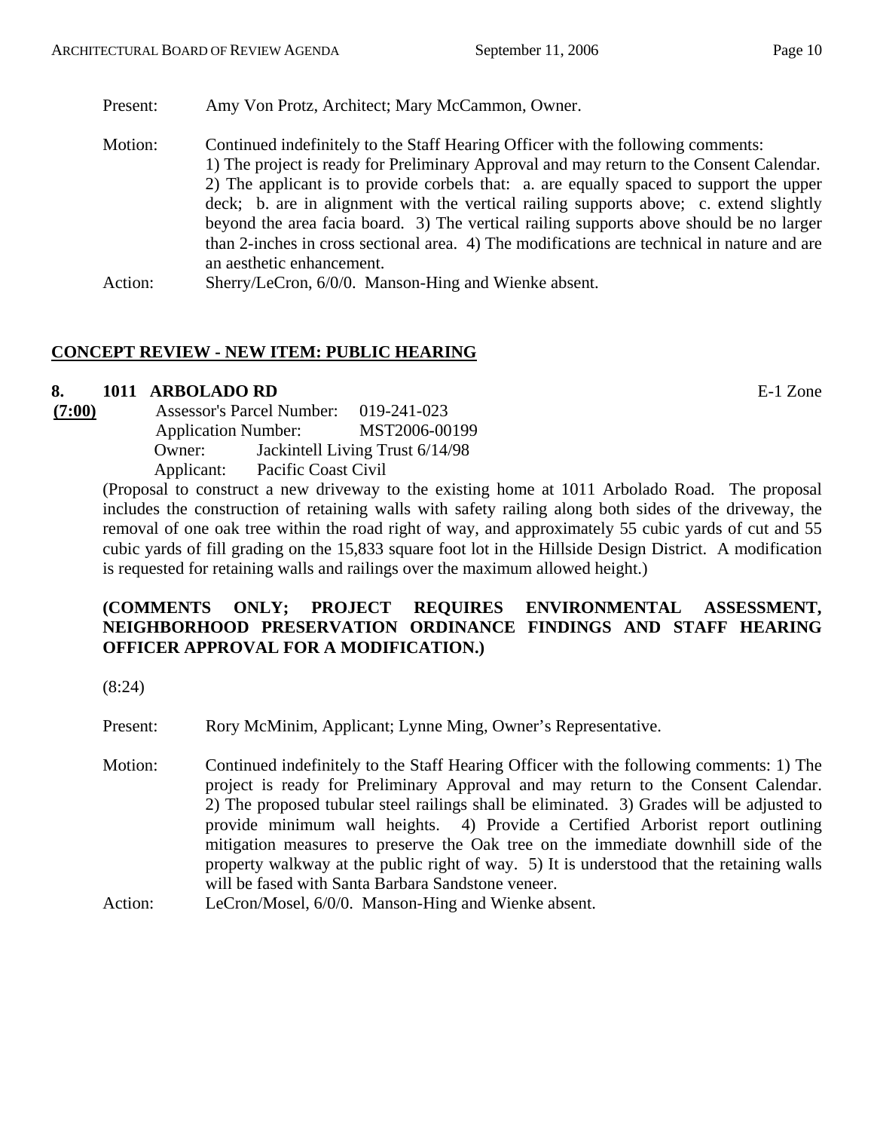Present: Amy Von Protz, Architect; Mary McCammon, Owner.

Motion: Continued indefinitely to the Staff Hearing Officer with the following comments: 1) The project is ready for Preliminary Approval and may return to the Consent Calendar. 2) The applicant is to provide corbels that: a. are equally spaced to support the upper deck; b. are in alignment with the vertical railing supports above; c. extend slightly beyond the area facia board. 3) The vertical railing supports above should be no larger than 2-inches in cross sectional area. 4) The modifications are technical in nature and are an aesthetic enhancement. Action: Sherry/LeCron, 6/0/0. Manson-Hing and Wienke absent.

# **CONCEPT REVIEW - NEW ITEM: PUBLIC HEARING**

## **8. 1011 ARBOLADO RD** E-1 Zone

**(7:00)** Assessor's Parcel Number: 019-241-023 Application Number: MST2006-00199 Owner: Jackintell Living Trust 6/14/98 Applicant: Pacific Coast Civil

(Proposal to construct a new driveway to the existing home at 1011 Arbolado Road. The proposal includes the construction of retaining walls with safety railing along both sides of the driveway, the removal of one oak tree within the road right of way, and approximately 55 cubic yards of cut and 55 cubic yards of fill grading on the 15,833 square foot lot in the Hillside Design District. A modification is requested for retaining walls and railings over the maximum allowed height.)

## **(COMMENTS ONLY; PROJECT REQUIRES ENVIRONMENTAL ASSESSMENT, NEIGHBORHOOD PRESERVATION ORDINANCE FINDINGS AND STAFF HEARING OFFICER APPROVAL FOR A MODIFICATION.)**

(8:24)

Present: Rory McMinim, Applicant; Lynne Ming, Owner's Representative.

- Motion: Continued indefinitely to the Staff Hearing Officer with the following comments: 1) The project is ready for Preliminary Approval and may return to the Consent Calendar. 2) The proposed tubular steel railings shall be eliminated. 3) Grades will be adjusted to provide minimum wall heights. 4) Provide a Certified Arborist report outlining mitigation measures to preserve the Oak tree on the immediate downhill side of the property walkway at the public right of way. 5) It is understood that the retaining walls will be fased with Santa Barbara Sandstone veneer.
- Action: LeCron/Mosel, 6/0/0. Manson-Hing and Wienke absent.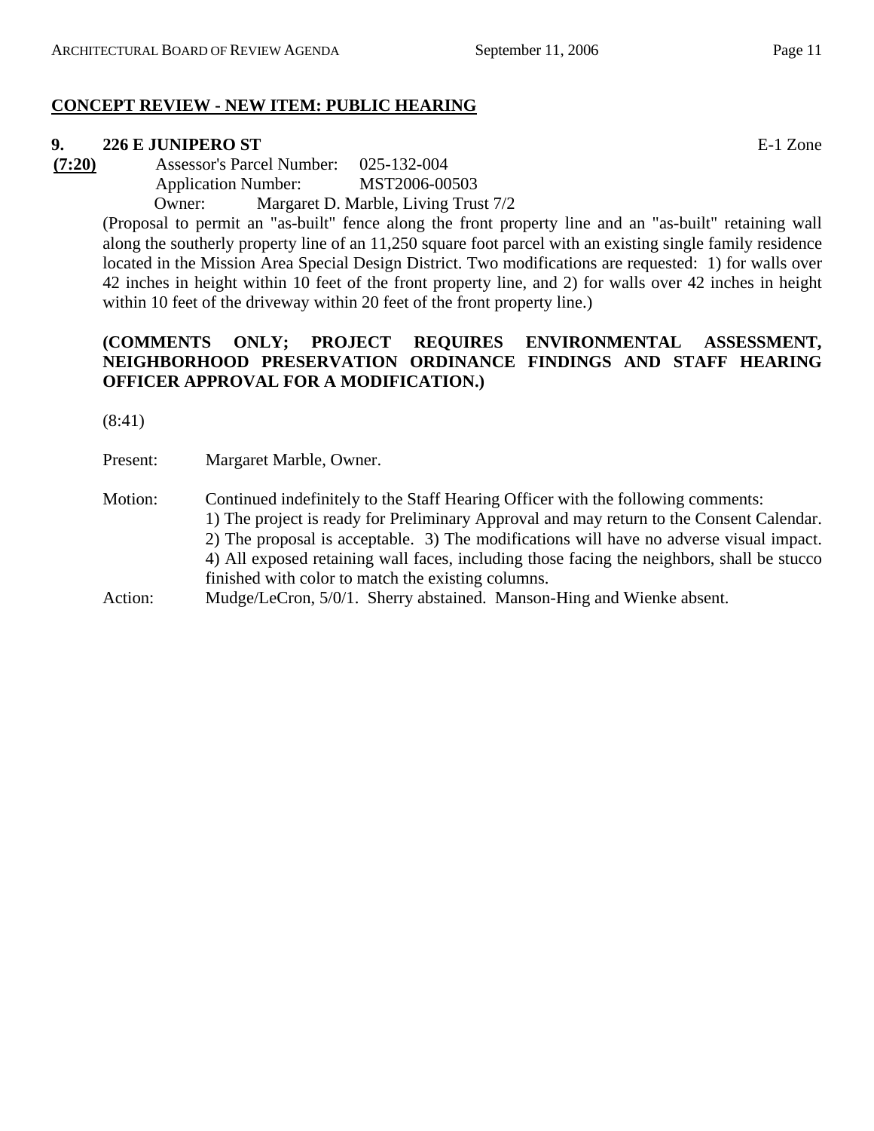## **CONCEPT REVIEW - NEW ITEM: PUBLIC HEARING**

#### **9. 226 E JUNIPERO ST** E-1 Zone

**(7:20)** Assessor's Parcel Number: 025-132-004 Application Number: MST2006-00503

Owner: Margaret D. Marble, Living Trust 7/2

(Proposal to permit an "as-built" fence along the front property line and an "as-built" retaining wall along the southerly property line of an 11,250 square foot parcel with an existing single family residence located in the Mission Area Special Design District. Two modifications are requested: 1) for walls over 42 inches in height within 10 feet of the front property line, and 2) for walls over 42 inches in height within 10 feet of the driveway within 20 feet of the front property line.)

## **(COMMENTS ONLY; PROJECT REQUIRES ENVIRONMENTAL ASSESSMENT, NEIGHBORHOOD PRESERVATION ORDINANCE FINDINGS AND STAFF HEARING OFFICER APPROVAL FOR A MODIFICATION.)**

(8:41)

Present: Margaret Marble, Owner.

Motion: Continued indefinitely to the Staff Hearing Officer with the following comments: 1) The project is ready for Preliminary Approval and may return to the Consent Calendar. 2) The proposal is acceptable. 3) The modifications will have no adverse visual impact. 4) All exposed retaining wall faces, including those facing the neighbors, shall be stucco finished with color to match the existing columns.

Action: Mudge/LeCron, 5/0/1. Sherry abstained. Manson-Hing and Wienke absent.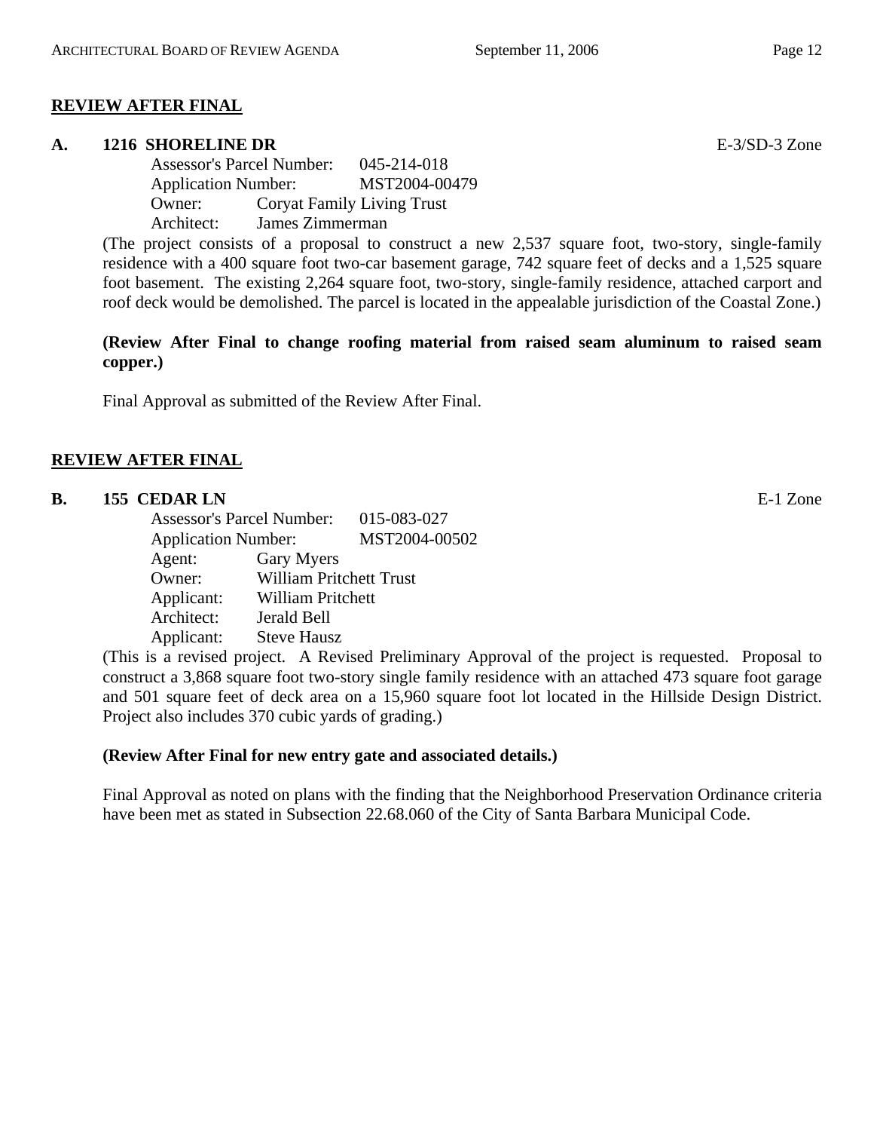## **REVIEW AFTER FINAL**

#### **A. 1216 SHORELINE DR** E-3/SD-3 Zone

Assessor's Parcel Number: 045-214-018 Application Number: MST2004-00479 Owner: Coryat Family Living Trust Architect: James Zimmerman

(The project consists of a proposal to construct a new 2,537 square foot, two-story, single-family residence with a 400 square foot two-car basement garage, 742 square feet of decks and a 1,525 square foot basement. The existing 2,264 square foot, two-story, single-family residence, attached carport and roof deck would be demolished. The parcel is located in the appealable jurisdiction of the Coastal Zone.)

## **(Review After Final to change roofing material from raised seam aluminum to raised seam copper.)**

Final Approval as submitted of the Review After Final.

## **REVIEW AFTER FINAL**

## **B.** 155 CEDAR LN **E-1** Zone

Assessor's Parcel Number: 015-083-027 Application Number: MST2004-00502 Agent: Gary Myers Owner: William Pritchett Trust Applicant: William Pritchett Architect: Jerald Bell Applicant: Steve Hausz

(This is a revised project. A Revised Preliminary Approval of the project is requested. Proposal to construct a 3,868 square foot two-story single family residence with an attached 473 square foot garage and 501 square feet of deck area on a 15,960 square foot lot located in the Hillside Design District. Project also includes 370 cubic yards of grading.)

## **(Review After Final for new entry gate and associated details.)**

Final Approval as noted on plans with the finding that the Neighborhood Preservation Ordinance criteria have been met as stated in Subsection 22.68.060 of the City of Santa Barbara Municipal Code.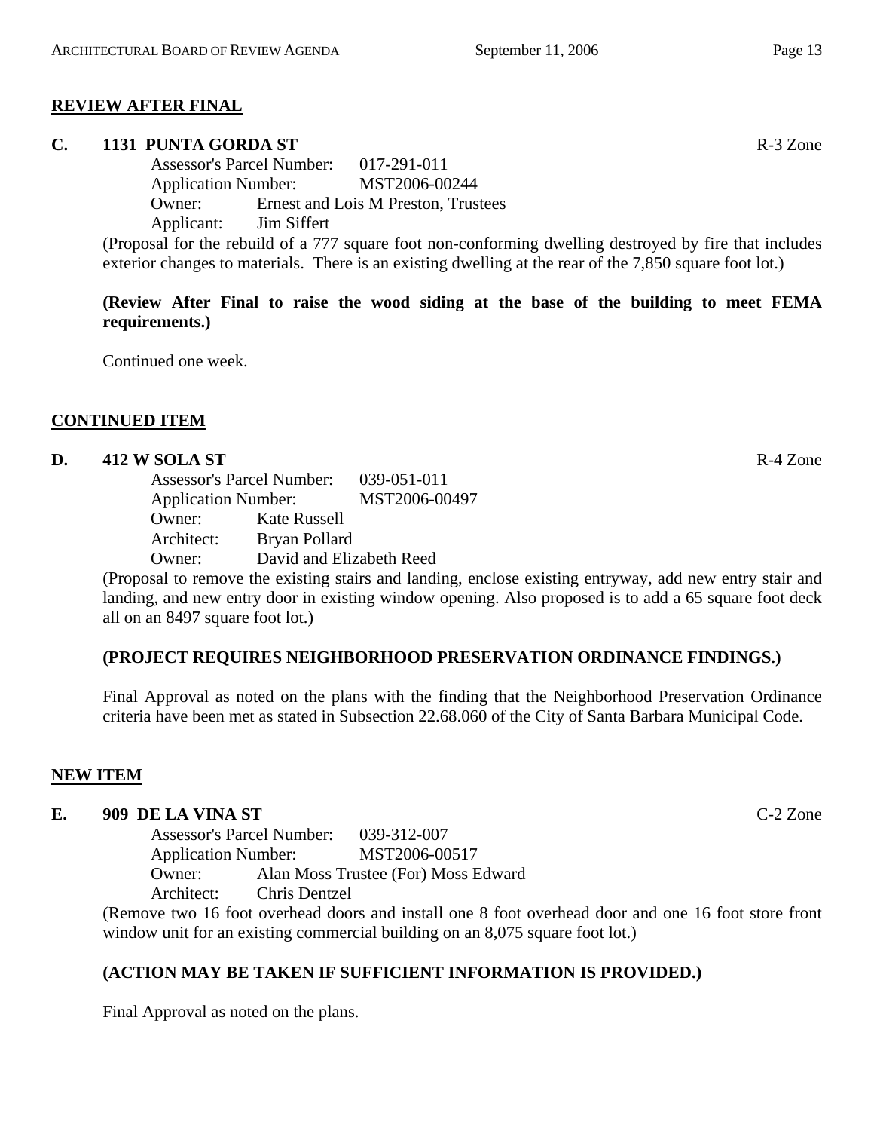## **REVIEW AFTER FINAL**

## **C. 1131 PUNTA GORDA ST** R-3 Zone

Assessor's Parcel Number: 017-291-011 Application Number: MST2006-00244 Owner: Ernest and Lois M Preston, Trustees Applicant: Jim Siffert

(Proposal for the rebuild of a 777 square foot non-conforming dwelling destroyed by fire that includes exterior changes to materials. There is an existing dwelling at the rear of the 7,850 square foot lot.)

**(Review After Final to raise the wood siding at the base of the building to meet FEMA requirements.)** 

Continued one week.

## **CONTINUED ITEM**

## **D.** 412 W SOLA ST **R-4** Zone

Assessor's Parcel Number: 039-051-011 Application Number: MST2006-00497 Owner: Kate Russell Architect: Bryan Pollard Owner: David and Elizabeth Reed

(Proposal to remove the existing stairs and landing, enclose existing entryway, add new entry stair and landing, and new entry door in existing window opening. Also proposed is to add a 65 square foot deck all on an 8497 square foot lot.)

## **(PROJECT REQUIRES NEIGHBORHOOD PRESERVATION ORDINANCE FINDINGS.)**

Final Approval as noted on the plans with the finding that the Neighborhood Preservation Ordinance criteria have been met as stated in Subsection 22.68.060 of the City of Santa Barbara Municipal Code.

## **NEW ITEM**

#### **E. 909 DE LA VINA ST** C-2 Zone

Assessor's Parcel Number: 039-312-007 Application Number: MST2006-00517 Owner: Alan Moss Trustee (For) Moss Edward Architect: Chris Dentzel

(Remove two 16 foot overhead doors and install one 8 foot overhead door and one 16 foot store front window unit for an existing commercial building on an 8,075 square foot lot.)

## **(ACTION MAY BE TAKEN IF SUFFICIENT INFORMATION IS PROVIDED.)**

Final Approval as noted on the plans.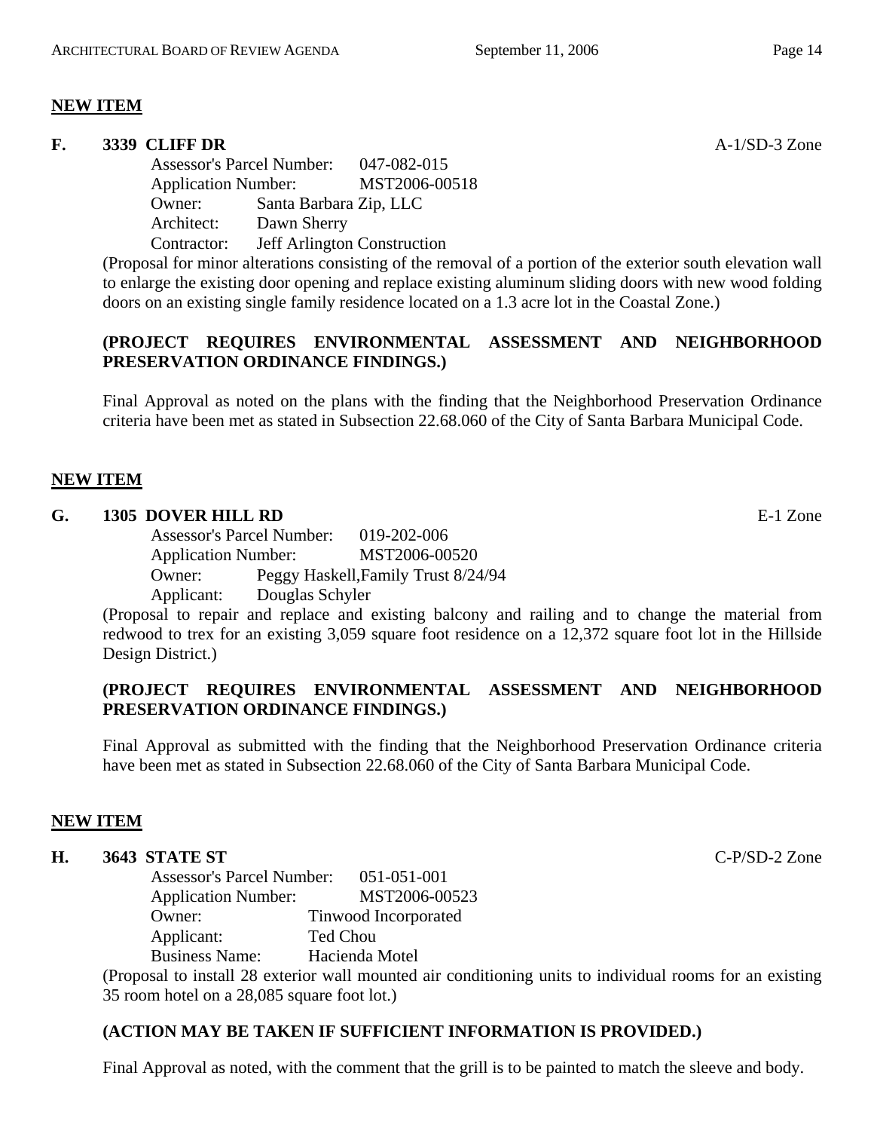## **NEW ITEM**

#### **F. 3339 CLIFF DR** A-1/SD-3 Zone

Assessor's Parcel Number: 047-082-015 Application Number: MST2006-00518 Owner: Santa Barbara Zip, LLC Architect: Dawn Sherry Contractor: Jeff Arlington Construction

(Proposal for minor alterations consisting of the removal of a portion of the exterior south elevation wall to enlarge the existing door opening and replace existing aluminum sliding doors with new wood folding doors on an existing single family residence located on a 1.3 acre lot in the Coastal Zone.)

## **(PROJECT REQUIRES ENVIRONMENTAL ASSESSMENT AND NEIGHBORHOOD PRESERVATION ORDINANCE FINDINGS.)**

Final Approval as noted on the plans with the finding that the Neighborhood Preservation Ordinance criteria have been met as stated in Subsection 22.68.060 of the City of Santa Barbara Municipal Code.

## **NEW ITEM**

#### **G. 1305 DOVER HILL RD** E-1 Zone

Assessor's Parcel Number: 019-202-006 Application Number: MST2006-00520 Owner: Peggy Haskell,Family Trust 8/24/94 Applicant: Douglas Schyler

(Proposal to repair and replace and existing balcony and railing and to change the material from redwood to trex for an existing 3,059 square foot residence on a 12,372 square foot lot in the Hillside Design District.)

## **(PROJECT REQUIRES ENVIRONMENTAL ASSESSMENT AND NEIGHBORHOOD PRESERVATION ORDINANCE FINDINGS.)**

Final Approval as submitted with the finding that the Neighborhood Preservation Ordinance criteria have been met as stated in Subsection 22.68.060 of the City of Santa Barbara Municipal Code.

## **NEW ITEM**

## **H. 3643 STATE ST** C-P/SD-2 Zone

Assessor's Parcel Number: 051-051-001 Application Number: MST2006-00523 Owner: Tinwood Incorporated Applicant: Ted Chou Business Name: Hacienda Motel

(Proposal to install 28 exterior wall mounted air conditioning units to individual rooms for an existing 35 room hotel on a 28,085 square foot lot.)

## **(ACTION MAY BE TAKEN IF SUFFICIENT INFORMATION IS PROVIDED.)**

Final Approval as noted, with the comment that the grill is to be painted to match the sleeve and body.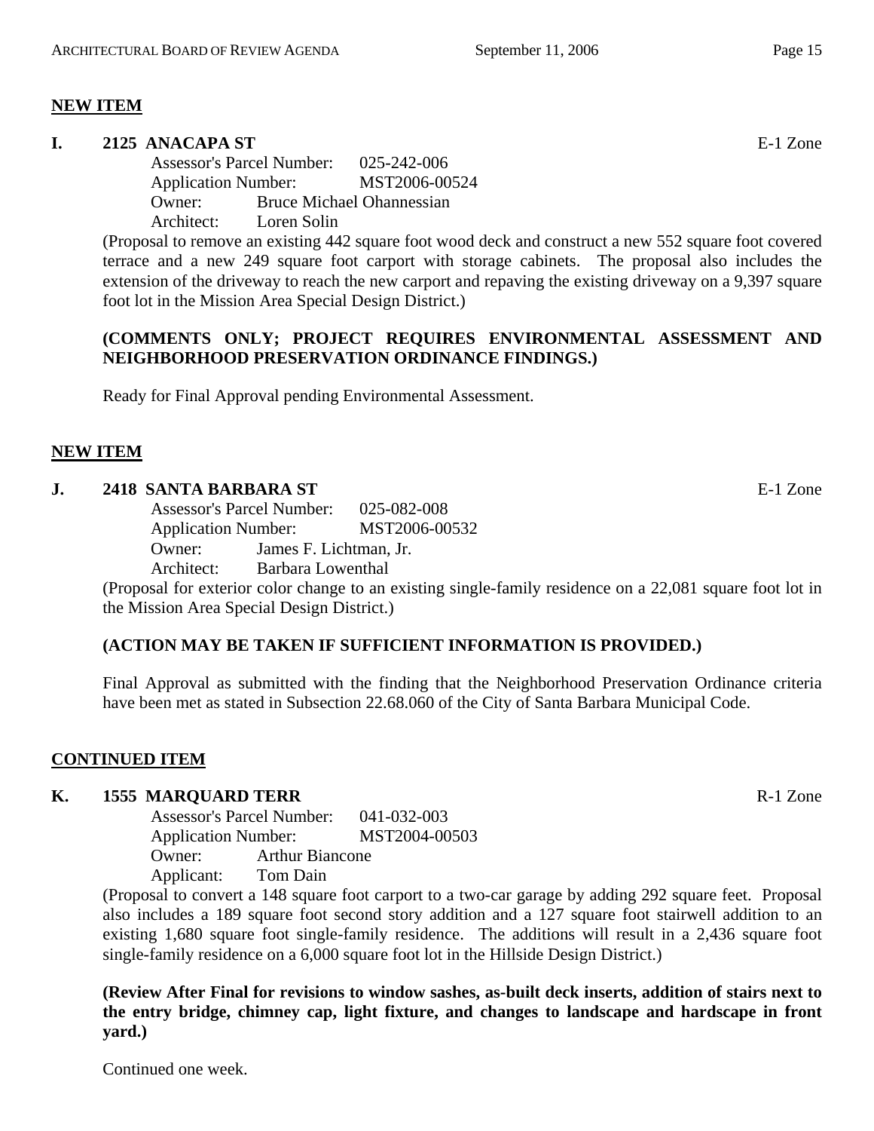## **NEW ITEM**

#### **I. 2125 ANACAPA ST** E-1 Zone

Assessor's Parcel Number: 025-242-006 Application Number: MST2006-00524 Owner: Bruce Michael Ohannessian Architect: Loren Solin

(Proposal to remove an existing 442 square foot wood deck and construct a new 552 square foot covered terrace and a new 249 square foot carport with storage cabinets. The proposal also includes the extension of the driveway to reach the new carport and repaving the existing driveway on a 9,397 square foot lot in the Mission Area Special Design District.)

## **(COMMENTS ONLY; PROJECT REQUIRES ENVIRONMENTAL ASSESSMENT AND NEIGHBORHOOD PRESERVATION ORDINANCE FINDINGS.)**

Ready for Final Approval pending Environmental Assessment.

## **NEW ITEM**

#### **J. 2418 SANTA BARBARA ST** E-1 Zone

Assessor's Parcel Number: 025-082-008 Application Number: MST2006-00532 Owner: James F. Lichtman, Jr.

Architect: Barbara Lowenthal

(Proposal for exterior color change to an existing single-family residence on a 22,081 square foot lot in the Mission Area Special Design District.)

## **(ACTION MAY BE TAKEN IF SUFFICIENT INFORMATION IS PROVIDED.)**

Final Approval as submitted with the finding that the Neighborhood Preservation Ordinance criteria have been met as stated in Subsection 22.68.060 of the City of Santa Barbara Municipal Code.

## **CONTINUED ITEM**

## **K. 1555 MARQUARD TERR** R-1 Zone

Assessor's Parcel Number: 041-032-003 Application Number: MST2004-00503 Owner: Arthur Biancone Applicant: Tom Dain

(Proposal to convert a 148 square foot carport to a two-car garage by adding 292 square feet. Proposal also includes a 189 square foot second story addition and a 127 square foot stairwell addition to an existing 1,680 square foot single-family residence. The additions will result in a 2,436 square foot single-family residence on a 6,000 square foot lot in the Hillside Design District.)

**(Review After Final for revisions to window sashes, as-built deck inserts, addition of stairs next to the entry bridge, chimney cap, light fixture, and changes to landscape and hardscape in front yard.)** 

Continued one week.